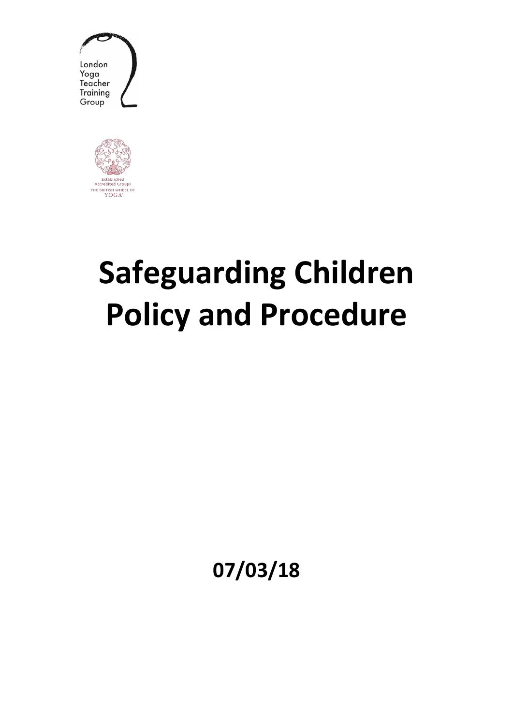



# **Safeguarding Children Policy and Procedure**

**07/03/18**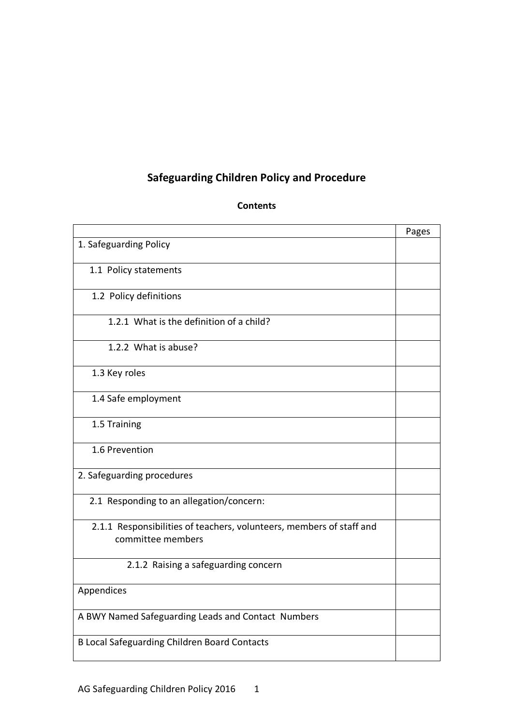# **Safeguarding Children Policy and Procedure**

#### **Contents**

|                                                                                           | Pages |
|-------------------------------------------------------------------------------------------|-------|
| 1. Safeguarding Policy                                                                    |       |
| 1.1 Policy statements                                                                     |       |
| 1.2 Policy definitions                                                                    |       |
| 1.2.1 What is the definition of a child?                                                  |       |
| 1.2.2 What is abuse?                                                                      |       |
| 1.3 Key roles                                                                             |       |
| 1.4 Safe employment                                                                       |       |
| 1.5 Training                                                                              |       |
| 1.6 Prevention                                                                            |       |
| 2. Safeguarding procedures                                                                |       |
| 2.1 Responding to an allegation/concern:                                                  |       |
| 2.1.1 Responsibilities of teachers, volunteers, members of staff and<br>committee members |       |
| 2.1.2 Raising a safeguarding concern                                                      |       |
| Appendices                                                                                |       |
| A BWY Named Safeguarding Leads and Contact Numbers                                        |       |
| <b>B Local Safeguarding Children Board Contacts</b>                                       |       |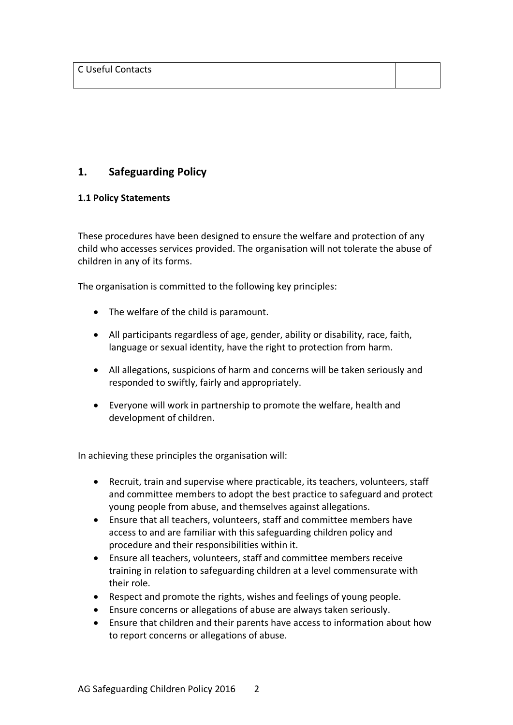# **1. Safeguarding Policy**

# **1.1 Policy Statements**

These procedures have been designed to ensure the welfare and protection of any child who accesses services provided. The organisation will not tolerate the abuse of children in any of its forms.

The organisation is committed to the following key principles:

- The welfare of the child is paramount.
- All participants regardless of age, gender, ability or disability, race, faith, language or sexual identity, have the right to protection from harm.
- All allegations, suspicions of harm and concerns will be taken seriously and responded to swiftly, fairly and appropriately.
- Everyone will work in partnership to promote the welfare, health and development of children.

In achieving these principles the organisation will:

- Recruit, train and supervise where practicable, its teachers, volunteers, staff and committee members to adopt the best practice to safeguard and protect young people from abuse, and themselves against allegations.
- Ensure that all teachers, volunteers, staff and committee members have access to and are familiar with this safeguarding children policy and procedure and their responsibilities within it.
- Ensure all teachers, volunteers, staff and committee members receive training in relation to safeguarding children at a level commensurate with their role.
- Respect and promote the rights, wishes and feelings of young people.
- Ensure concerns or allegations of abuse are always taken seriously.
- Ensure that children and their parents have access to information about how to report concerns or allegations of abuse.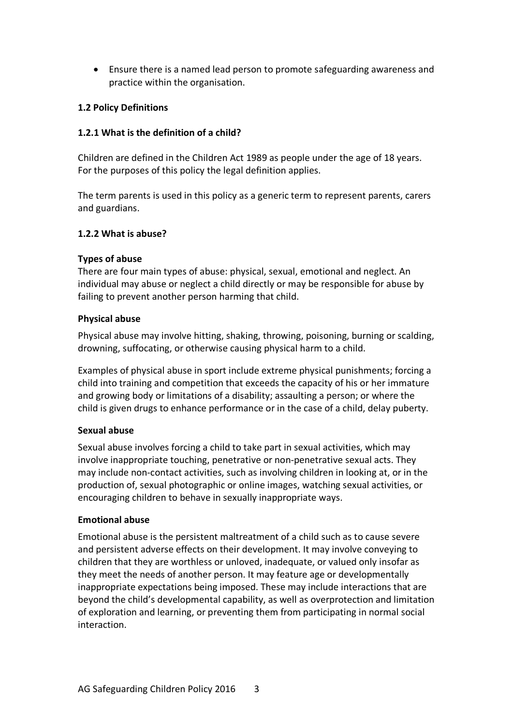• Ensure there is a named lead person to promote safeguarding awareness and practice within the organisation.

#### **1.2 Policy Definitions**

#### **1.2.1 What is the definition of a child?**

Children are defined in the Children Act 1989 as people under the age of 18 years. For the purposes of this policy the legal definition applies.

The term parents is used in this policy as a generic term to represent parents, carers and guardians.

#### **1.2.2 What is abuse?**

#### **Types of abuse**

There are four main types of abuse: physical, sexual, emotional and neglect. An individual may abuse or neglect a child directly or may be responsible for abuse by failing to prevent another person harming that child.

#### **Physical abuse**

Physical abuse may involve hitting, shaking, throwing, poisoning, burning or scalding, drowning, suffocating, or otherwise causing physical harm to a child.

Examples of physical abuse in sport include extreme physical punishments; forcing a child into training and competition that exceeds the capacity of his or her immature and growing body or limitations of a disability; assaulting a person; or where the child is given drugs to enhance performance or in the case of a child, delay puberty.

#### **Sexual abuse**

Sexual abuse involves forcing a child to take part in sexual activities, which may involve inappropriate touching, penetrative or non-penetrative sexual acts. They may include non-contact activities, such as involving children in looking at, or in the production of, sexual photographic or online images, watching sexual activities, or encouraging children to behave in sexually inappropriate ways.

#### **Emotional abuse**

Emotional abuse is the persistent maltreatment of a child such as to cause severe and persistent adverse effects on their development. It may involve conveying to children that they are worthless or unloved, inadequate, or valued only insofar as they meet the needs of another person. It may feature age or developmentally inappropriate expectations being imposed. These may include interactions that are beyond the child's developmental capability, as well as overprotection and limitation of exploration and learning, or preventing them from participating in normal social interaction.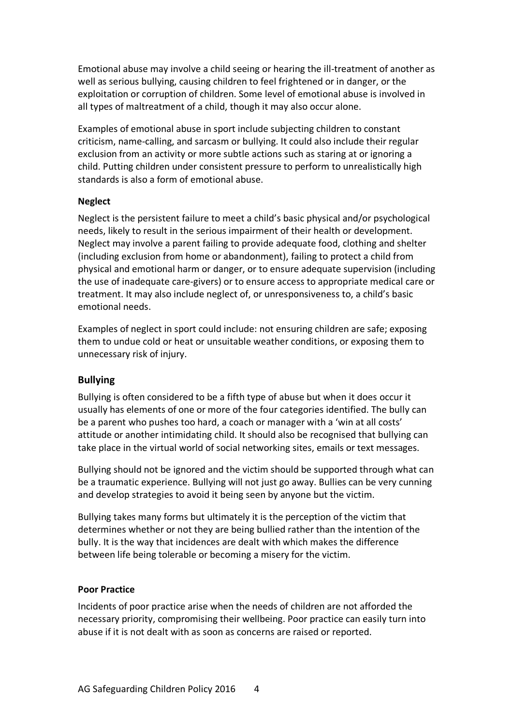Emotional abuse may involve a child seeing or hearing the ill-treatment of another as well as serious bullying, causing children to feel frightened or in danger, or the exploitation or corruption of children. Some level of emotional abuse is involved in all types of maltreatment of a child, though it may also occur alone.

Examples of emotional abuse in sport include subjecting children to constant criticism, name-calling, and sarcasm or bullying. It could also include their regular exclusion from an activity or more subtle actions such as staring at or ignoring a child. Putting children under consistent pressure to perform to unrealistically high standards is also a form of emotional abuse.

#### **Neglect**

Neglect is the persistent failure to meet a child's basic physical and/or psychological needs, likely to result in the serious impairment of their health or development. Neglect may involve a parent failing to provide adequate food, clothing and shelter (including exclusion from home or abandonment), failing to protect a child from physical and emotional harm or danger, or to ensure adequate supervision (including the use of inadequate care-givers) or to ensure access to appropriate medical care or treatment. It may also include neglect of, or unresponsiveness to, a child's basic emotional needs.

Examples of neglect in sport could include: not ensuring children are safe; exposing them to undue cold or heat or unsuitable weather conditions, or exposing them to unnecessary risk of injury.

# **Bullying**

Bullying is often considered to be a fifth type of abuse but when it does occur it usually has elements of one or more of the four categories identified. The bully can be a parent who pushes too hard, a coach or manager with a 'win at all costs' attitude or another intimidating child. It should also be recognised that bullying can take place in the virtual world of social networking sites, emails or text messages.

Bullying should not be ignored and the victim should be supported through what can be a traumatic experience. Bullying will not just go away. Bullies can be very cunning and develop strategies to avoid it being seen by anyone but the victim.

Bullying takes many forms but ultimately it is the perception of the victim that determines whether or not they are being bullied rather than the intention of the bully. It is the way that incidences are dealt with which makes the difference between life being tolerable or becoming a misery for the victim.

#### **Poor Practice**

Incidents of poor practice arise when the needs of children are not afforded the necessary priority, compromising their wellbeing. Poor practice can easily turn into abuse if it is not dealt with as soon as concerns are raised or reported.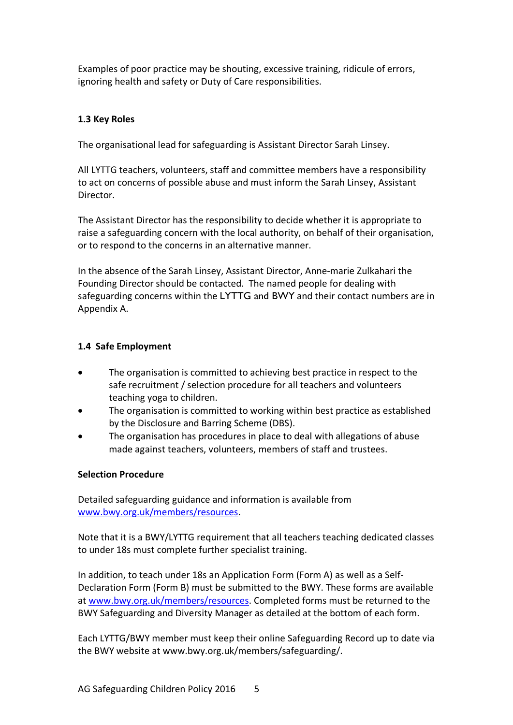Examples of poor practice may be shouting, excessive training, ridicule of errors, ignoring health and safety or Duty of Care responsibilities.

# **1.3 Key Roles**

The organisational lead for safeguarding is Assistant Director Sarah Linsey.

All LYTTG teachers, volunteers, staff and committee members have a responsibility to act on concerns of possible abuse and must inform the Sarah Linsey, Assistant **Director** 

The Assistant Director has the responsibility to decide whether it is appropriate to raise a safeguarding concern with the local authority, on behalf of their organisation, or to respond to the concerns in an alternative manner.

In the absence of the Sarah Linsey, Assistant Director, Anne-marie Zulkahari the Founding Director should be contacted. The named people for dealing with safeguarding concerns within the LYTTG and BWY and their contact numbers are in Appendix A.

# **1.4 Safe Employment**

- The organisation is committed to achieving best practice in respect to the safe recruitment / selection procedure for all teachers and volunteers teaching yoga to children.
- The organisation is committed to working within best practice as established by the Disclosure and Barring Scheme (DBS).
- The organisation has procedures in place to deal with allegations of abuse made against teachers, volunteers, members of staff and trustees.

# **Selection Procedure**

Detailed safeguarding guidance and information is available from www.bwy.org.uk/members/resources.

Note that it is a BWY/LYTTG requirement that all teachers teaching dedicated classes to under 18s must complete further specialist training.

In addition, to teach under 18s an Application Form (Form A) as well as a Self-Declaration Form (Form B) must be submitted to the BWY. These forms are available at www.bwy.org.uk/members/resources. Completed forms must be returned to the BWY Safeguarding and Diversity Manager as detailed at the bottom of each form.

Each LYTTG/BWY member must keep their online Safeguarding Record up to date via the BWY website at www.bwy.org.uk/members/safeguarding/.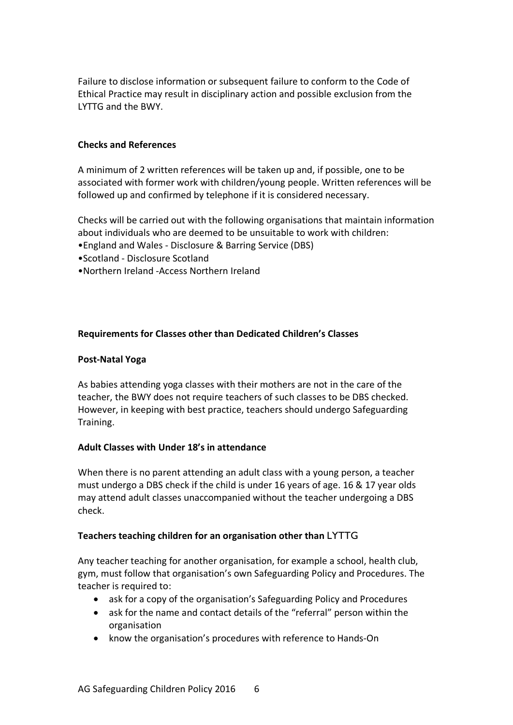Failure to disclose information or subsequent failure to conform to the Code of Ethical Practice may result in disciplinary action and possible exclusion from the LYTTG and the BWY.

#### **Checks and References**

A minimum of 2 written references will be taken up and, if possible, one to be associated with former work with children/young people. Written references will be followed up and confirmed by telephone if it is considered necessary.

Checks will be carried out with the following organisations that maintain information about individuals who are deemed to be unsuitable to work with children:

- •England and Wales Disclosure & Barring Service (DBS)
- •Scotland Disclosure Scotland
- •Northern Ireland -Access Northern Ireland

#### **Requirements for Classes other than Dedicated Children's Classes**

#### **Post-Natal Yoga**

As babies attending yoga classes with their mothers are not in the care of the teacher, the BWY does not require teachers of such classes to be DBS checked. However, in keeping with best practice, teachers should undergo Safeguarding Training.

#### **Adult Classes with Under 18's in attendance**

When there is no parent attending an adult class with a young person, a teacher must undergo a DBS check if the child is under 16 years of age. 16 & 17 year olds may attend adult classes unaccompanied without the teacher undergoing a DBS check.

# **Teachers teaching children for an organisation other than** LYTTG

Any teacher teaching for another organisation, for example a school, health club, gym, must follow that organisation's own Safeguarding Policy and Procedures. The teacher is required to:

- ask for a copy of the organisation's Safeguarding Policy and Procedures
- ask for the name and contact details of the "referral" person within the organisation
- know the organisation's procedures with reference to Hands-On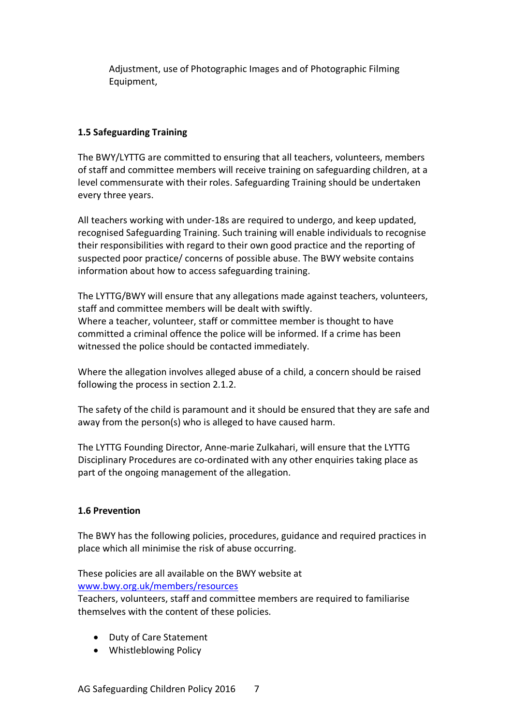Adjustment, use of Photographic Images and of Photographic Filming Equipment,

# **1.5 Safeguarding Training**

The BWY/LYTTG are committed to ensuring that all teachers, volunteers, members of staff and committee members will receive training on safeguarding children, at a level commensurate with their roles. Safeguarding Training should be undertaken every three years.

All teachers working with under-18s are required to undergo, and keep updated, recognised Safeguarding Training. Such training will enable individuals to recognise their responsibilities with regard to their own good practice and the reporting of suspected poor practice/ concerns of possible abuse. The BWY website contains information about how to access safeguarding training.

The LYTTG/BWY will ensure that any allegations made against teachers, volunteers, staff and committee members will be dealt with swiftly. Where a teacher, volunteer, staff or committee member is thought to have committed a criminal offence the police will be informed. If a crime has been witnessed the police should be contacted immediately.

Where the allegation involves alleged abuse of a child, a concern should be raised following the process in section 2.1.2.

The safety of the child is paramount and it should be ensured that they are safe and away from the person(s) who is alleged to have caused harm.

The LYTTG Founding Director, Anne-marie Zulkahari, will ensure that the LYTTG Disciplinary Procedures are co-ordinated with any other enquiries taking place as part of the ongoing management of the allegation.

# **1.6 Prevention**

The BWY has the following policies, procedures, guidance and required practices in place which all minimise the risk of abuse occurring.

These policies are all available on the BWY website at www.bwy.org.uk/members/resources

Teachers, volunteers, staff and committee members are required to familiarise themselves with the content of these policies.

- Duty of Care Statement
- Whistleblowing Policy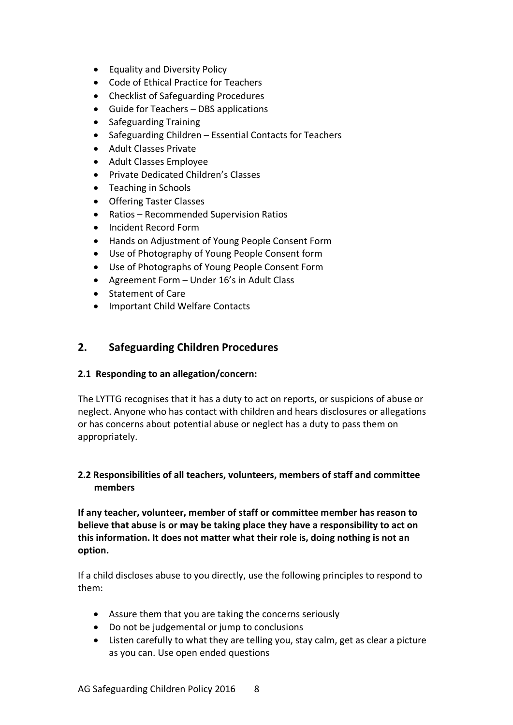- Equality and Diversity Policy
- Code of Ethical Practice for Teachers
- Checklist of Safeguarding Procedures
- Guide for Teachers DBS applications
- Safeguarding Training
- Safeguarding Children Essential Contacts for Teachers
- Adult Classes Private
- Adult Classes Employee
- Private Dedicated Children's Classes
- Teaching in Schools
- Offering Taster Classes
- Ratios Recommended Supervision Ratios
- Incident Record Form
- Hands on Adjustment of Young People Consent Form
- Use of Photography of Young People Consent form
- Use of Photographs of Young People Consent Form
- Agreement Form Under 16's in Adult Class
- Statement of Care
- Important Child Welfare Contacts

# **2. Safeguarding Children Procedures**

#### **2.1 Responding to an allegation/concern:**

The LYTTG recognises that it has a duty to act on reports, or suspicions of abuse or neglect. Anyone who has contact with children and hears disclosures or allegations or has concerns about potential abuse or neglect has a duty to pass them on appropriately.

# **2.2 Responsibilities of all teachers, volunteers, members of staff and committee members**

**If any teacher, volunteer, member of staff or committee member has reason to believe that abuse is or may be taking place they have a responsibility to act on this information. It does not matter what their role is, doing nothing is not an option.** 

If a child discloses abuse to you directly, use the following principles to respond to them:

- Assure them that you are taking the concerns seriously
- Do not be judgemental or jump to conclusions
- Listen carefully to what they are telling you, stay calm, get as clear a picture as you can. Use open ended questions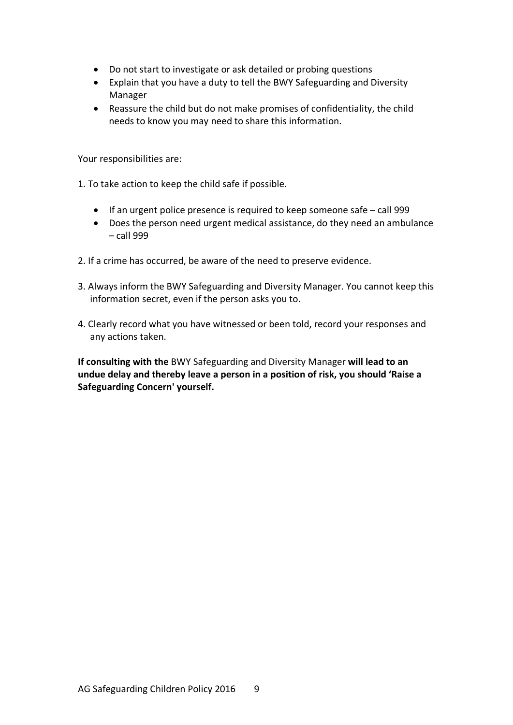- Do not start to investigate or ask detailed or probing questions
- Explain that you have a duty to tell the BWY Safeguarding and Diversity Manager
- Reassure the child but do not make promises of confidentiality, the child needs to know you may need to share this information.

Your responsibilities are:

- 1. To take action to keep the child safe if possible.
	- If an urgent police presence is required to keep someone safe call 999
	- Does the person need urgent medical assistance, do they need an ambulance – call 999
- 2. If a crime has occurred, be aware of the need to preserve evidence.
- 3. Always inform the BWY Safeguarding and Diversity Manager. You cannot keep this information secret, even if the person asks you to.
- 4. Clearly record what you have witnessed or been told, record your responses and any actions taken.

**If consulting with the** BWY Safeguarding and Diversity Manager **will lead to an undue delay and thereby leave a person in a position of risk, you should 'Raise a Safeguarding Concern' yourself.**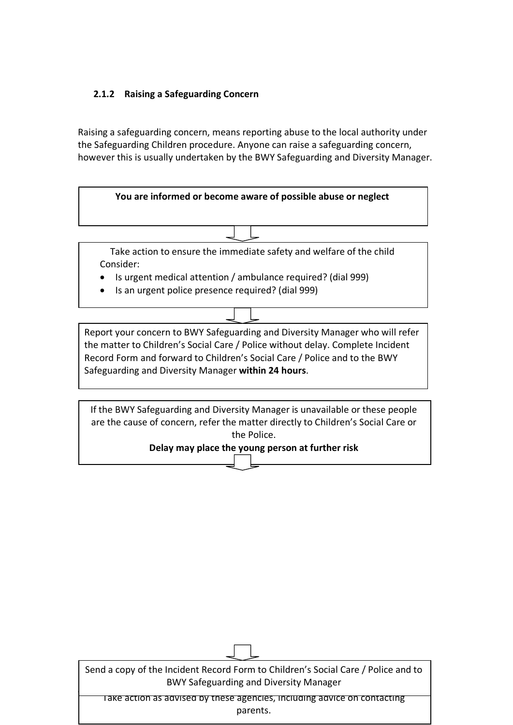# **2.1.2 Raising a Safeguarding Concern**

Raising a safeguarding concern, means reporting abuse to the local authority under the Safeguarding Children procedure. Anyone can raise a safeguarding concern, however this is usually undertaken by the BWY Safeguarding and Diversity Manager.



Take action to ensure the immediate safety and welfare of the child Consider:

- Is urgent medical attention / ambulance required? (dial 999)
- Is an urgent police presence required? (dial 999)

Report your concern to BWY Safeguarding and Diversity Manager who will refer the matter to Children's Social Care / Police without delay. Complete Incident Record Form and forward to Children's Social Care / Police and to the BWY Safeguarding and Diversity Manager **within 24 hours**.

If the BWY Safeguarding and Diversity Manager is unavailable or these people are the cause of concern, refer the matter directly to Children's Social Care or the Police.

#### **Delay may place the young person at further risk**

| Send a copy of the Incident Record Form to Children's Social Care / Police and to<br><b>BWY Safeguarding and Diversity Manager</b> |
|------------------------------------------------------------------------------------------------------------------------------------|
| Take action as advised by these agencies, including advice on contacting<br>parents.                                               |

 $\Box$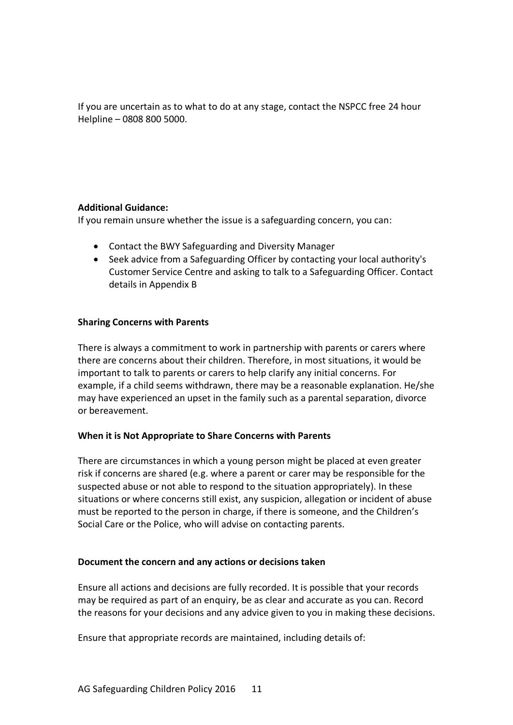If you are uncertain as to what to do at any stage, contact the NSPCC free 24 hour Helpline – 0808 800 5000.

# **Additional Guidance:**

If you remain unsure whether the issue is a safeguarding concern, you can:

- Contact the BWY Safeguarding and Diversity Manager
- Seek advice from a Safeguarding Officer by contacting your local authority's Customer Service Centre and asking to talk to a Safeguarding Officer. Contact details in Appendix B

#### **Sharing Concerns with Parents**

There is always a commitment to work in partnership with parents or carers where there are concerns about their children. Therefore, in most situations, it would be important to talk to parents or carers to help clarify any initial concerns. For example, if a child seems withdrawn, there may be a reasonable explanation. He/she may have experienced an upset in the family such as a parental separation, divorce or bereavement.

# **When it is Not Appropriate to Share Concerns with Parents**

There are circumstances in which a young person might be placed at even greater risk if concerns are shared (e.g. where a parent or carer may be responsible for the suspected abuse or not able to respond to the situation appropriately). In these situations or where concerns still exist, any suspicion, allegation or incident of abuse must be reported to the person in charge, if there is someone, and the Children's Social Care or the Police, who will advise on contacting parents.

#### **Document the concern and any actions or decisions taken**

Ensure all actions and decisions are fully recorded. It is possible that your records may be required as part of an enquiry, be as clear and accurate as you can. Record the reasons for your decisions and any advice given to you in making these decisions.

Ensure that appropriate records are maintained, including details of: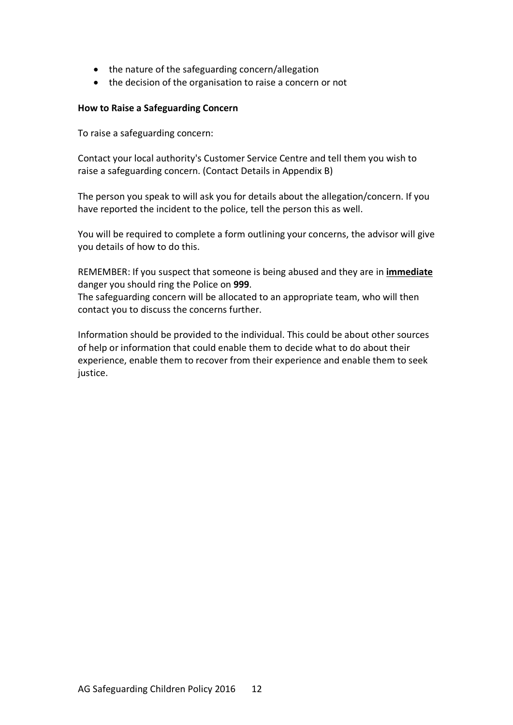- the nature of the safeguarding concern/allegation
- the decision of the organisation to raise a concern or not

#### **How to Raise a Safeguarding Concern**

To raise a safeguarding concern:

Contact your local authority's Customer Service Centre and tell them you wish to raise a safeguarding concern. (Contact Details in Appendix B)

The person you speak to will ask you for details about the allegation/concern. If you have reported the incident to the police, tell the person this as well.

You will be required to complete a form outlining your concerns, the advisor will give you details of how to do this.

REMEMBER: If you suspect that someone is being abused and they are in **immediate** danger you should ring the Police on **999**.

The safeguarding concern will be allocated to an appropriate team, who will then contact you to discuss the concerns further.

Information should be provided to the individual. This could be about other sources of help or information that could enable them to decide what to do about their experience, enable them to recover from their experience and enable them to seek justice.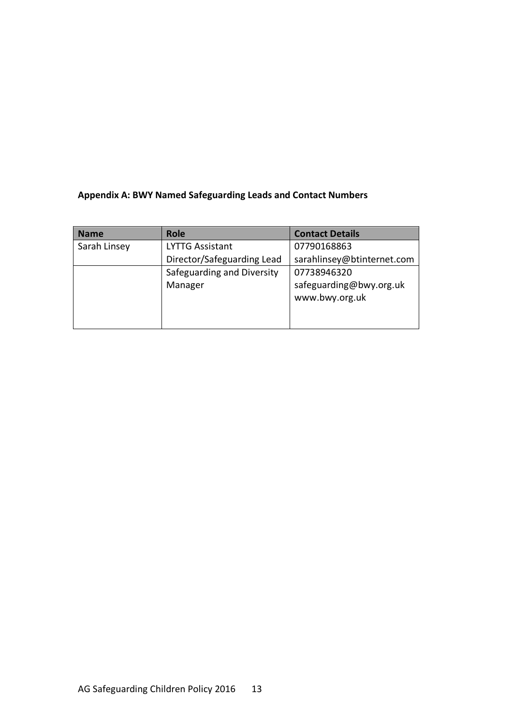# **Appendix A: BWY Named Safeguarding Leads and Contact Numbers**

| <b>Name</b>  | <b>Role</b>                | <b>Contact Details</b>                    |
|--------------|----------------------------|-------------------------------------------|
| Sarah Linsey | <b>LYTTG Assistant</b>     | 07790168863                               |
|              | Director/Safeguarding Lead | sarahlinsey@btinternet.com                |
|              | Safeguarding and Diversity | 07738946320                               |
|              | Manager                    | safeguarding@bwy.org.uk<br>www.bwy.org.uk |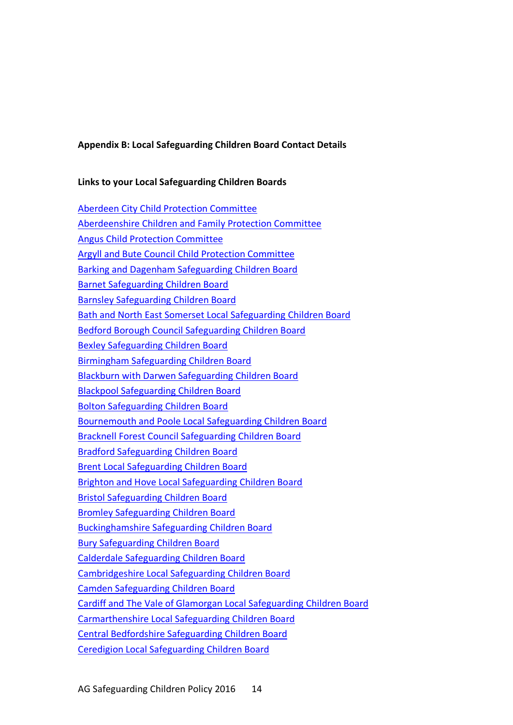#### **Appendix B: Local Safeguarding Children Board Contact Details**

#### **Links to your Local Safeguarding Children Boards**

Aberdeen City Child Protection Committee Aberdeenshire Children and Family Protection Committee Angus Child Protection Committee Argyll and Bute Council Child Protection Committee Barking and Dagenham Safeguarding Children Board Barnet Safeguarding Children Board Barnsley Safeguarding Children Board Bath and North East Somerset Local Safeguarding Children Board Bedford Borough Council Safeguarding Children Board Bexley Safeguarding Children Board Birmingham Safeguarding Children Board Blackburn with Darwen Safeguarding Children Board Blackpool Safeguarding Children Board Bolton Safeguarding Children Board Bournemouth and Poole Local Safeguarding Children Board Bracknell Forest Council Safeguarding Children Board Bradford Safeguarding Children Board Brent Local Safeguarding Children Board Brighton and Hove Local Safeguarding Children Board Bristol Safeguarding Children Board Bromley Safeguarding Children Board Buckinghamshire Safeguarding Children Board Bury Safeguarding Children Board Calderdale Safeguarding Children Board Cambridgeshire Local Safeguarding Children Board Camden Safeguarding Children Board Cardiff and The Vale of Glamorgan Local Safeguarding Children Board Carmarthenshire Local Safeguarding Children Board Central Bedfordshire Safeguarding Children Board Ceredigion Local Safeguarding Children Board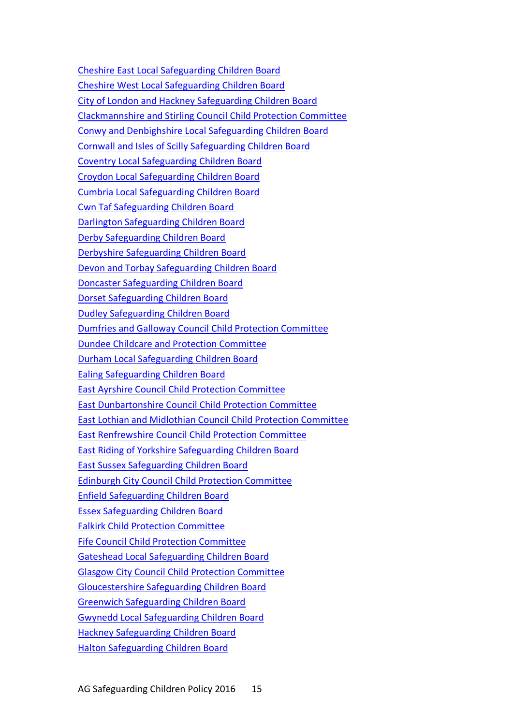Cheshire East Local Safeguarding Children Board Cheshire West Local Safeguarding Children Board City of London and Hackney Safeguarding Children Board Clackmannshire and Stirling Council Child Protection Committee Conwy and Denbighshire Local Safeguarding Children Board Cornwall and Isles of Scilly Safeguarding Children Board Coventry Local Safeguarding Children Board Croydon Local Safeguarding Children Board Cumbria Local Safeguarding Children Board Cwn Taf Safeguarding Children Board Darlington Safeguarding Children Board Derby Safeguarding Children Board Derbyshire Safeguarding Children Board Devon and Torbay Safeguarding Children Board Doncaster Safeguarding Children Board Dorset Safeguarding Children Board Dudley Safeguarding Children Board Dumfries and Galloway Council Child Protection Committee Dundee Childcare and Protection Committee Durham Local Safeguarding Children Board Ealing Safeguarding Children Board East Ayrshire Council Child Protection Committee East Dunbartonshire Council Child Protection Committee East Lothian and Midlothian Council Child Protection Committee East Renfrewshire Council Child Protection Committee East Riding of Yorkshire Safeguarding Children Board East Sussex Safeguarding Children Board Edinburgh City Council Child Protection Committee Enfield Safeguarding Children Board Essex Safeguarding Children Board Falkirk Child Protection Committee Fife Council Child Protection Committee Gateshead Local Safeguarding Children Board Glasgow City Council Child Protection Committee Gloucestershire Safeguarding Children Board Greenwich Safeguarding Children Board Gwynedd Local Safeguarding Children Board Hackney Safeguarding Children Board Halton Safeguarding Children Board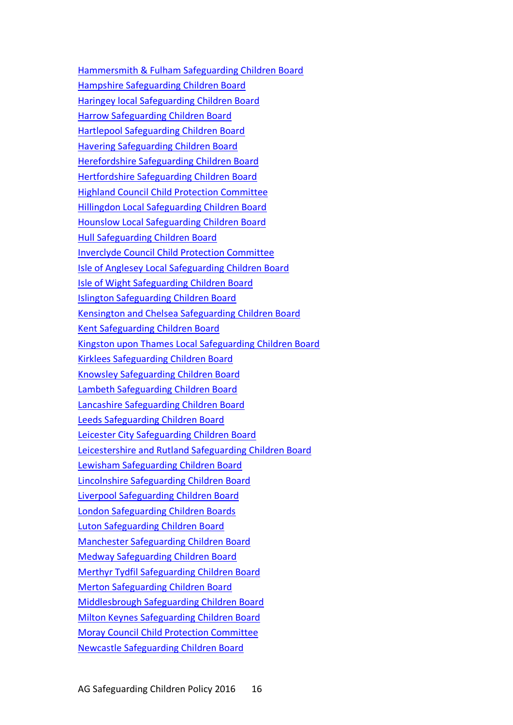Hammersmith & Fulham Safeguarding Children Board Hampshire Safeguarding Children Board Haringey local Safeguarding Children Board Harrow Safeguarding Children Board Hartlepool Safeguarding Children Board Havering Safeguarding Children Board Herefordshire Safeguarding Children Board Hertfordshire Safeguarding Children Board Highland Council Child Protection Committee Hillingdon Local Safeguarding Children Board Hounslow Local Safeguarding Children Board Hull Safeguarding Children Board Inverclyde Council Child Protection Committee Isle of Anglesey Local Safeguarding Children Board Isle of Wight Safeguarding Children Board Islington Safeguarding Children Board Kensington and Chelsea Safeguarding Children Board Kent Safeguarding Children Board Kingston upon Thames Local Safeguarding Children Board Kirklees Safeguarding Children Board Knowsley Safeguarding Children Board Lambeth Safeguarding Children Board Lancashire Safeguarding Children Board Leeds Safeguarding Children Board Leicester City Safeguarding Children Board Leicestershire and Rutland Safeguarding Children Board Lewisham Safeguarding Children Board Lincolnshire Safeguarding Children Board Liverpool Safeguarding Children Board London Safeguarding Children Boards Luton Safeguarding Children Board Manchester Safeguarding Children Board Medway Safeguarding Children Board Merthyr Tydfil Safeguarding Children Board Merton Safeguarding Children Board Middlesbrough Safeguarding Children Board Milton Keynes Safeguarding Children Board Moray Council Child Protection Committee Newcastle Safeguarding Children Board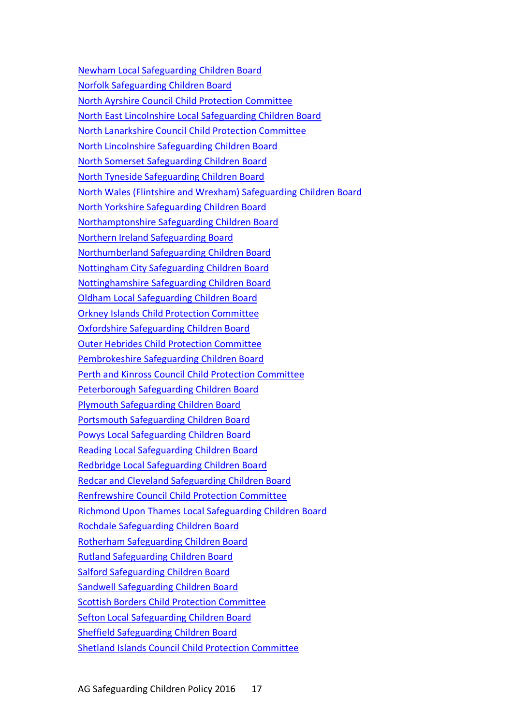Newham Local Safeguarding Children Board Norfolk Safeguarding Children Board North Ayrshire Council Child Protection Committee North East Lincolnshire Local Safeguarding Children Board North Lanarkshire Council Child Protection Committee North Lincolnshire Safeguarding Children Board North Somerset Safeguarding Children Board North Tyneside Safeguarding Children Board North Wales (Flintshire and Wrexham) Safeguarding Children Board North Yorkshire Safeguarding Children Board Northamptonshire Safeguarding Children Board Northern Ireland Safeguarding Board Northumberland Safeguarding Children Board Nottingham City Safeguarding Children Board Nottinghamshire Safeguarding Children Board Oldham Local Safeguarding Children Board Orkney Islands Child Protection Committee Oxfordshire Safeguarding Children Board Outer Hebrides Child Protection Committee Pembrokeshire Safeguarding Children Board Perth and Kinross Council Child Protection Committee Peterborough Safeguarding Children Board Plymouth Safeguarding Children Board Portsmouth Safeguarding Children Board Powys Local Safeguarding Children Board Reading Local Safeguarding Children Board Redbridge Local Safeguarding Children Board Redcar and Cleveland Safeguarding Children Board Renfrewshire Council Child Protection Committee Richmond Upon Thames Local Safeguarding Children Board Rochdale Safeguarding Children Board Rotherham Safeguarding Children Board Rutland Safeguarding Children Board Salford Safeguarding Children Board Sandwell Safeguarding Children Board Scottish Borders Child Protection Committee Sefton Local Safeguarding Children Board Sheffield Safeguarding Children Board Shetland Islands Council Child Protection Committee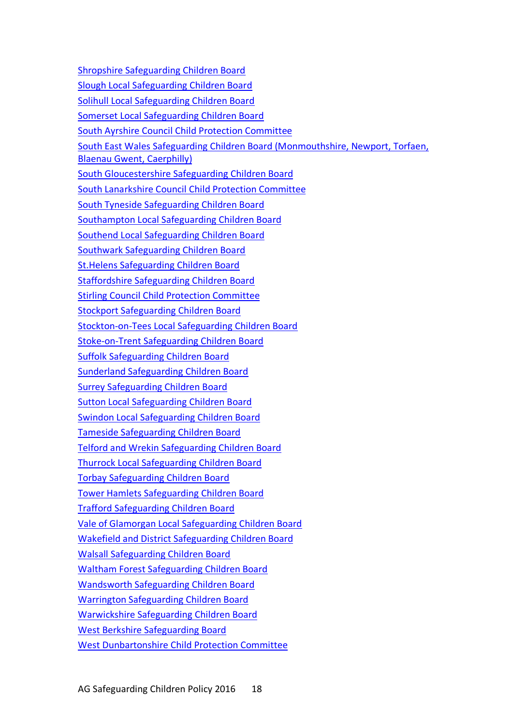Shropshire Safeguarding Children Board Slough Local Safeguarding Children Board Solihull Local Safeguarding Children Board Somerset Local Safeguarding Children Board South Ayrshire Council Child Protection Committee South East Wales Safeguarding Children Board (Monmouthshire, Newport, Torfaen, Blaenau Gwent, Caerphilly) South Gloucestershire Safeguarding Children Board South Lanarkshire Council Child Protection Committee South Tyneside Safeguarding Children Board Southampton Local Safeguarding Children Board Southend Local Safeguarding Children Board Southwark Safeguarding Children Board St.Helens Safeguarding Children Board Staffordshire Safeguarding Children Board Stirling Council Child Protection Committee Stockport Safeguarding Children Board Stockton-on-Tees Local Safeguarding Children Board Stoke-on-Trent Safeguarding Children Board Suffolk Safeguarding Children Board Sunderland Safeguarding Children Board Surrey Safeguarding Children Board Sutton Local Safeguarding Children Board Swindon Local Safeguarding Children Board Tameside Safeguarding Children Board Telford and Wrekin Safeguarding Children Board Thurrock Local Safeguarding Children Board Torbay Safeguarding Children Board Tower Hamlets Safeguarding Children Board Trafford Safeguarding Children Board Vale of Glamorgan Local Safeguarding Children Board Wakefield and District Safeguarding Children Board Walsall Safeguarding Children Board Waltham Forest Safeguarding Children Board Wandsworth Safeguarding Children Board Warrington Safeguarding Children Board Warwickshire Safeguarding Children Board West Berkshire Safeguarding Board West Dunbartonshire Child Protection Committee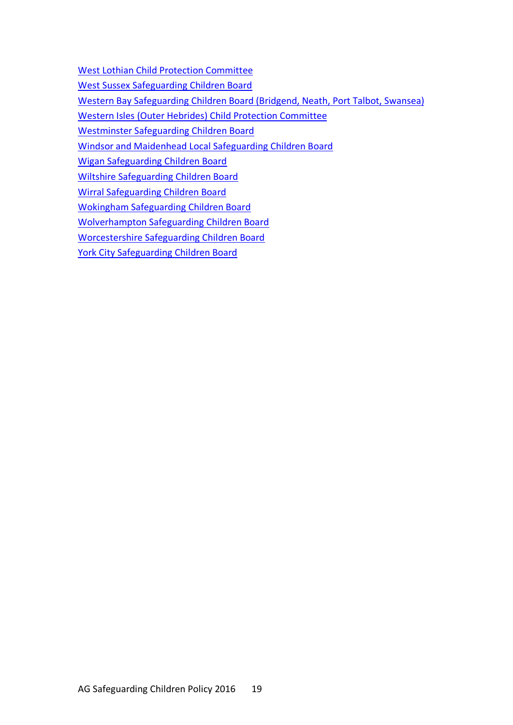West Lothian Child Protection Committee

West Sussex Safeguarding Children Board

Western Bay Safeguarding Children Board (Bridgend, Neath, Port Talbot, Swansea)

Western Isles (Outer Hebrides) Child Protection Committee

Westminster Safeguarding Children Board

Windsor and Maidenhead Local Safeguarding Children Board

Wigan Safeguarding Children Board

Wiltshire Safeguarding Children Board

Wirral Safeguarding Children Board

Wokingham Safeguarding Children Board

Wolverhampton Safeguarding Children Board

Worcestershire Safeguarding Children Board

York City Safeguarding Children Board